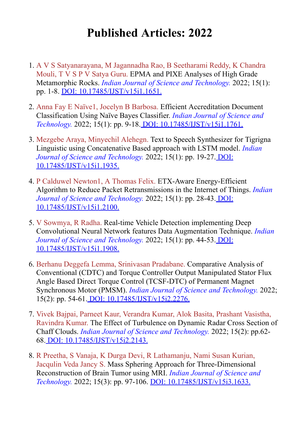## **Published Articles: 2022**

- 1. A V S Satyanarayana, M Jagannadha Rao, B Seetharami Reddy, K Chandra Mouli, T V S P V Satya Guru. EPMA and PIXE Analyses of High Grade Metamorphic Rocks. *Indian Journal of Science and Technology.* 2022; 15(1): pp. 1-8. [DOI: 10.17485/IJST/v15i1.1651.](https://indjst.org/articles/epma-and-pixe-analyses-of-high-grade-metamorphic-rocks)
- 2. Anna Fay E Naïve1, Jocelyn B Barbosa. Efficient Accreditation Document Classification Using Naïve Bayes Classifier. *Indian Journal of Science and Technology.* 2022; 15(1): pp. 9-18[. DOI: 10.17485/IJST/v15i1.1761.](https://indjst.org/articles/efficient-accreditation-document-classification-using-nave-bayes-classifier)
- 3. Mezgebe Araya, Minyechil Alehegn. Text to Speech Synthesizer for Tigrigna Linguistic using Concatenative Based approach with LSTM model. *Indian [Journal of Science and Technology.](https://indjst.org/articles/text-to-speech-synthesizer-for-tigrigna-linguistic-using-concatenative-based-approach-with-lstm-model)* 2022; 15(1): pp. 19-27. DOI: 10.17485/IJST/v15i1.1935.
- 4. P Calduwel Newton1, A Thomas Felix. ETX-Aware Energy-Efficient Algorithm to Reduce Packet Retransmissions in the Internet of Things. *Indian [Journal of Science and Technology.](https://indjst.org/articles/etx-aware-energy-efficient-algorithm-to-reduce-packet-retransmissions-in-the-internet-of-things)* 2022; 15(1): pp. 28-43. DOI: 10.17485/IJST/v15i1.2100.
- 5. V Sowmya, R Radha. Real-time Vehicle Detection implementing Deep Convolutional Neural Network features Data Augmentation Technique. *Indian [Journal of Science and Technology.](https://indjst.org/articles/real-time-vehicle-detection-implementing-deep-convolutional-neural-network-features-data-augmentation-technique)* 2022; 15(1): pp. 44-53. DOI: 10.17485/IJST/v15i1.1908.
- 6. Berhanu Deggefa Lemma, Srinivasan Pradabane. Comparative Analysis of Conventional (CDTC) and Torque Controller Output Manipulated Stator Flux Angle Based Direct Torque Control (TCSF-DTC) of Permanent Magnet Synchronous Motor (PMSM). *Indian Journal of Science and Technology.* 2022; 15(2): pp. 54-61. [DOI: 10.17485/IJST/v15i2.2276.](https://indjst.org/articles/comparative-analysis-of-conventional-cdtc-and-torque-controller-output-manipulated-stator-flux-angle-based-direct-torque-control-tcsf-dtc-of-permanent-magnet-synchronous-motor-pmsm)
- 7. Vivek Bajpai, Parneet Kaur, Verandra Kumar, Alok Basita, Prashant Vasistha, Ravindra Kumar. The Effect of Turbulence on Dynamic Radar Cross Section of Chaff Clouds. *Indian Journal of Science and Technology.* 2022; 15(2): pp.62- 68. [DOI: 10.17485/IJST/v15i2.2143.](https://indjst.org/articles/the-effect-of-turbulence-on-dynamic-radar-cross-section-of-chaff-clouds)
- 8. R Preetha, S Vanaja, K Durga Devi, R Lathamanju, Nami Susan Kurian, Jacqulin Veda Jancy S. Mass Sphering Approach for Three-Dimensional Reconstruction of Brain Tumor using MRI. *Indian Journal of Science and Technology.* 2022; 15(3): pp. 97-106. [DOI: 10.17485/IJST/v15i3.1633.](https://indjst.org/articles/mass-sphering-approach-for-three-dimensional-reconstruction-of-brain-tumor-using-mri)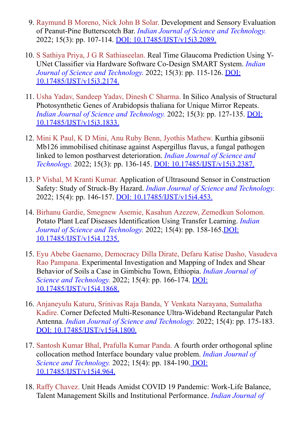- 9. Raymund B Moreno, Nick John B Solar. Development and Sensory Evaluation of Peanut-Pine Butterscotch Bar. *Indian Journal of Science and Technology.* 2022; 15(3): pp. 107-114. [DOI: 10.17485/IJST/v15i3.2089.](https://indjst.org/articles/development-and-sensory-evaluation-of-peanut-pine-butterscotch-bar)
- 10. S Sathiya Priya, J G R Sathiaseelan. Real Time Glaucoma Prediction Using Y-UNet Classifier via Hardware Software Co-Design SMART System. *Indian [Journal of Science and Technology.](https://indjst.org/articles/real-time-glaucoma-prediction-using-y-unet-classifier-via-hardware-software-co-design-smart-system)* 2022; 15(3): pp. 115-126. DOI: 10.17485/IJST/v15i3.2174.
- 11. Usha Yadav, Sandeep Yadav, Dinesh C Sharma. In Silico Analysis of Structural Photosynthetic Genes of Arabidopsis thaliana for Unique Mirror Repeats. *[Indian Journal of Science and Technology.](https://indjst.org/articles/in-silico-analysis-of-structural-photosynthetic-genes-of-arabidopsis-thaliana-for-unique-mirror-repeats)* 2022; 15(3): pp. 127-135. DOI: 10.17485/IJST/v15i3.1833.
- 12. Mini K Paul, K D Mini, Anu Ruby Benn, Jyothis Mathew. Kurthia gibsonii Mb126 immobilised chitinase against Aspergillus flavus, a fungal pathogen linked to lemon postharvest deterioration. *Indian Journal of Science and Technology.* 2022; 15(3): pp. 136-145. [DOI: 10.17485/IJST/v15i3.2387.](https://indjst.org/articles/kurthia-gibsonii-mb126-immobilised-chitinase-against-aspergillus-flavus-a-fungal-pathogen-linked-to-lemon-postharvest-deterioration)
- 13. P Vishal, M Kranti Kumar. Application of Ultrasound Sensor in Construction Safety: Study of Struck-By Hazard. *Indian Journal of Science and Technology.* 2022; 15(4): pp. 146-157. [DOI: 10.17485/IJST/v15i4.453.](https://indjst.org/articles/application-of-ultrasound-sensor-in-construction-safety-study-of-struck-by-hazard)
- 14. Birhanu Gardie, Smegnew Asemie, Kasahun Azezew, Zemedkun Solomon. Potato Plant Leaf Diseases Identification Using Transfer Learning. *Indian [Journal of Science and Technology.](https://indjst.org/articles/potato-plant-leaf-diseases-identification-using-transfer-learning)* 2022; 15(4): pp. 158-165.DOI: 10.17485/IJST/v15i4.1235.
- 15. Eyu Abebe Gaenamo, Democracy Dilla Dirate, Defaru Katise Dasho, Vasudeva Rao Pampana. Experimental Investigation and Mapping of Index and Shear Behavior of Soils a Case in Gimbichu Town, Ethiopia. *Indian Journal of Science and Technology.* 2022; 15(4): pp. 166-174. **DOI:** 10.17485/IJST/v15i4.1868.
- 16. Anjaneyulu Katuru, Srinivas Raja Banda, Y Venkata Narayana, Sumalatha Kadire. Corner Defected Multi-Resonance Ultra-Wideband Rectangular Patch Antenna. *Indian Journal of Science and Technology.* 2022; 15(4): pp. 175-183. [DOI: 10.17485/IJST/v15i4.1800.](https://indjst.org/articles/corner-defected-multi-resonance-ultra-wideband-rectangular-patch-antenna)
- 17. Santosh Kumar Bhal, Prafulla Kumar Panda. A fourth order orthogonal spline collocation method Interface boundary value problem. *Indian Journal of Science and Technology.* [2022; 15\(4\): pp. 184-190. DOI:](https://indjst.org/articles/a-fourth-order-orthogonal-spline-collocation-method-interface-boundary-value-problem) 10.17485/IJST/v15i4.964.
- 18. Raffy Chavez. Unit Heads Amidst COVID 19 Pandemic: Work-Life Balance, Talent Management Skills and Institutional Performance. *Indian Journal of*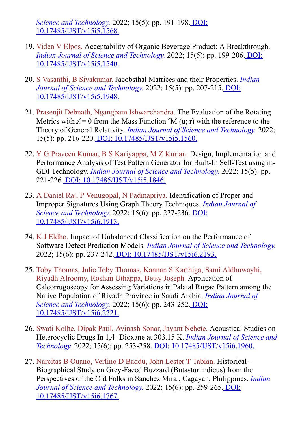*Science and Technology.* [2022; 15\(5\): pp. 191-198. DOI:](https://indjst.org/articles/unit-heads-amidst-covid-19-pandemic-work-life-balance-talent-management-skills-and-institutional-performance) 10.17485/IJST/v15i5.1568.

- 19. Viden V Elpos. Acceptability of Organic Beverage Product: A Breakthrough. *[Indian Journal of Science and Technology.](https://indjst.org/articles/acceptability-of-organic-beverage-product-a-breakthrough)* 2022; 15(5): pp. 199-206. DOI: 10.17485/IJST/v15i5.1540.
- 20. S Vasanthi, B Sivakumar. Jacobsthal Matrices and their Properties. *Indian [Journal of Science and Technology.](https://indjst.org/articles/jacobsthal-matrices-and-their-properties)* 2022; 15(5): pp. 207-215. DOI: 10.17485/IJST/v15i5.1948.
- 21. Prasenjit Debnath, Ngangbam Ishwarchandra. The Evaluation of the Rotating Metrics with  $\mathbf{a} = 0$  from the Mass Function  $\hat{M}$  (u; r) with the reference to the Theory of General Relativity. *Indian Journal of Science and Technology.* 2022; 15(5): pp. 216-220. [DOI: 10.17485/IJST/v15i5.1560.](https://indjst.org/articles/the-evaluation-of-the-rotating-metrics-with-a-0-from-the-mass-function-m-u-r-with-the-reference-to-the-theory-of-general-relativity)
- 22. Y G Praveen Kumar, B S Kariyappa, M Z Kurian. Design, Implementation and Performance Analysis of Test Pattern Generator for Built-In Self-Test using m-GDI Technology. *Indian Journal of Science and Technology.* 2022; 15(5): pp. 221-226. [DOI: 10.17485/IJST/v15i5.1846.](https://indjst.org/articles/design-implementation-and-performance-analysis-of-test-pattern-generator-for-built-in-self-test-using-m-gdi-technology)
- 23. A Daniel Raj, P Venugopal, N Padmapriya. Identification of Proper and Improper Signatures Using Graph Theory Techniques. *Indian Journal of Science and Technology.* [2022; 15\(6\): pp. 227-236. DOI:](https://indjst.org/articles/identification-of-proper-and-improper-signatures-using-graph-theory-techniques) 10.17485/IJST/v15i6.1913.
- 24. K J Eldho. Impact of Unbalanced Classification on the Performance of Software Defect Prediction Models. *Indian Journal of Science and Technology.* 2022; 15(6): pp. 237-242. [DOI: 10.17485/IJST/v15i6.2193.](https://indjst.org/articles/impact-of-unbalanced-classification-on-the-performance-of-software-defect-prediction-models)
- 25. Toby Thomas, Julie Toby Thomas, Kannan S Karthiga, Sami Aldhuwayhi, Riyadh Alroomy, Roshan Uthappa, Betsy Joseph. Application of Calcorrugoscopy for Assessing Variations in Palatal Rugae Pattern among the Native Population of Riyadh Province in Saudi Arabia. *Indian Journal of Science and Technology.* 2022; 15(6): pp. 243-252. **DOI:** 10.17485/IJST/v15i6.2221.
- 26. Swati Kolhe, Dipak Patil, Avinash Sonar, Jayant Nehete. Acoustical Studies on Heterocyclic Drugs In 1,4- Dioxane at 303.15 K. *Indian Journal of Science and Technology.* 2022; 15(6): pp. 253-258. [DOI: 10.17485/IJST/v15i6.1960.](https://indjst.org/articles/acoustical-studies-on-heterocyclic-drugs-in-14-dioxane-at-30315-k)
- 27. Narcitas B Ouano, Verlino D Baddu, John Lester T Tabian. Historical Biographical Study on Grey-Faced Buzzard (Butastur indicus) from the Perspectives of the Old Folks in Sanchez Mira , Cagayan, Philippines. *Indian [Journal of Science and Technology.](https://indjst.org/articles/historical-biographical-study-on-grey-faced-buzzard-butastur-indicus-from-the-perspectives-of-the-old-folks-in-sanchez-mira-cagayan-philippines)* 2022; 15(6): pp. 259-265. DOI: 10.17485/IJST/v15i6.1767.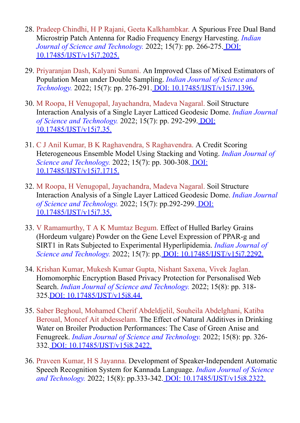- 28. Pradeep Chindhi, H P Rajani, Geeta Kalkhambkar. A Spurious Free Dual Band Microstrip Patch Antenna for Radio Frequency Energy Harvesting. *Indian [Journal of Science and Technology.](https://indjst.org/articles/a-spurious-free-dual-band-microstrip-patch-antenna-for-radio-frequency-energy-harvesting)* 2022; 15(7): pp. 266-275. DOI: 10.17485/IJST/v15i7.2025.
- 29. Priyaranjan Dash, Kalyani Sunani. An Improved Class of Mixed Estimators of Population Mean under Double Sampling. *Indian Journal of Science and Technology.* 2022; 15(7): pp. 276-291. [DOI: 10.17485/IJST/v15i7.1396.](https://indjst.org/articles/an-improved-class-of-mixed-estimators-of-population-mean-under-double-sampling)
- 30. M Roopa, H Venugopal, Jayachandra, Madeva Nagaral. Soil Structure Interaction Analysis of a Single Layer Latticed Geodesic Dome. *Indian Journal of Science and Technology.* [2022; 15\(7\): pp. 292-299. DOI:](https://indjst.org/articles/soil-structure-interaction-analysis-of-a-single-layer-latticed-geodesic-dome) 10.17485/IJST/v15i7.35.
- 31. C J Anil Kumar, B K Raghavendra, S Raghavendra. A Credit Scoring Heterogeneous Ensemble Model Using Stacking and Voting. *Indian Journal of Science and Technology.* [2022; 15\(7\): pp. 300-308. DOI:](https://indjst.org/articles/a-credit-scoring-heterogeneous-ensemble-model-using-stacking-and-voting) 10.17485/IJST/v15i7.1715.
- 32. M Roopa, H Venugopal, Jayachandra, Madeva Nagaral. Soil Structure Interaction Analysis of a Single Layer Latticed Geodesic Dome. *Indian Journal of Science and Technology.* [2022; 15\(7\): pp.292-299. DOI:](https://indjst.org/articles/soil-structure-interaction-analysis-of-a-single-layer-latticed-geodesic-dome) 10.17485/IJST/v15i7.35.
- 33. V Ramamurthy, T A K Mumtaz Begum. Effect of Hulled Barley Grains (Hordeum vulgare) Powder on the Gene Level Expression of PPAR-g and SIRT1 in Rats Subjected to Experimental Hyperlipidemia. *Indian Journal of Science and Technology.* 2022; 15(7): pp[. DOI: 10.17485/IJST/v15i7.2292.](https://indjst.org/articles/effect-of-hulled-barley-grains-hordeum-vulgare-powder-on-the-gene-level-expression-of-ppar-g-and-sirt1-in-rats-subjected-to-experimental-hyperlipidemia)
- 34. Krishan Kumar, Mukesh Kumar Gupta, Nishant Saxena, Vivek Jaglan. Homomorphic Encryption Based Privacy Protection for Personalised Web Search. *Indian Journal of Science and Technology.* 2022; 15(8): pp. 318- 325[.DOI: 10.17485/IJST/v15i8.44.](https://indjst.org/articles/homomorphic-encryption-based-privacy-protection-for-personalised-web-search)
- 35. Saber Beghoul, Mohamed Cherif Abdeldjelil, Souheila Abdelghani, Katiba Beroual, Moncef Ait abdesselam. The Effect of Natural Additives in Drinking Water on Broiler Production Performances: The Case of Green Anise and Fenugreek. *Indian Journal of Science and Technology.* 2022; 15(8): pp. 326- 332[. DOI: 10.17485/IJST/v15i8.2422.](https://indjst.org/articles/the-effect-of-natural-additives-in-drinking-water-on-broiler-production-performances-the-case-of-green-anise-and-fenugreek)
- 36. Praveen Kumar, H S Jayanna. Development of Speaker-Independent Automatic Speech Recognition System for Kannada Language. *Indian Journal of Science and Technology.* 2022; 15(8): pp.333-342[. DOI: 10.17485/IJST/v15i8.2322.](https://indjst.org/articles/development-of-speaker-independent-automatic-speech-recognition-system-for-kannada-language)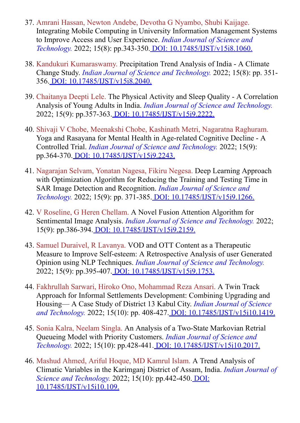- 37. Amrani Hassan, Newton Andebe, Devotha G Nyambo, Shubi Kaijage. Integrating Mobile Computing in University Information Management Systems to Improve Access and User Experience. *Indian Journal of Science and Technology.* 2022; 15(8): pp.343-350[. DOI: 10.17485/IJST/v15i8.1060.](https://indjst.org/articles/integrating-mobile-computing-in-university-information-management-systems-to-improve-access-and-user-experience)
- 38. Kandukuri Kumaraswamy. Precipitation Trend Analysis of India A Climate Change Study. *Indian Journal of Science and Technology.* 2022; 15(8): pp. 351- 356[. DOI: 10.17485/IJST/v15i8.2040.](https://indjst.org/articles/precipitation-trend-analysis-of-india-a-climate-change-study)
- 39. Chaitanya Deepti Lele. The Physical Activity and Sleep Quality A Correlation Analysis of Young Adults in India. *Indian Journal of Science and Technology.* 2022; 15(9): pp.357-363. [DOI: 10.17485/IJST/v15i9.2222.](https://indjst.org/articles/the-physical-activity-and-sleep-quality-a-correlation-analysis-of-young-adults-in-india)
- 40. Shivaji V Chobe, Meenakshi Chobe, Kashinath Metri, Nagaratna Raghuram. Yoga and Rasayana for Mental Health in Age-related Cognitive Decline - A Controlled Trial. *Indian Journal of Science and Technology.* 2022; 15(9): pp.364-370. [DOI: 10.17485/IJST/v15i9.2243.](https://indjst.org/articles/yoga-and-rasayana-for-mental-health-in-age-related-cognitive-decline-a-controlled-trial)
- 41. Nagarajan Selvam, Yonatan Nagesa, Fikiru Negesa. Deep Learning Approach with Optimization Algorithm for Reducing the Training and Testing Time in SAR Image Detection and Recognition. *Indian Journal of Science and Technology.* 2022; 15(9): pp. 371-385. [DOI: 10.17485/IJST/v15i9.1266.](https://indjst.org/articles/deep-learning-approach-with-optimization-algorithm-for-reducing-the-training-and-testing-time-in-sar-image-detection-and-recognition)
- 42. V Roseline, G Heren Chellam. A Novel Fusion Attention Algorithm for Sentimental Image Analysis. *Indian Journal of Science and Technology.* 2022; 15(9): pp.386-394. [DOI: 10.17485/IJST/v15i9.2159.](https://indjst.org/articles/a-novel-fusion-attention-algorithm-for-sentimental-image-analysis)
- 43. Samuel Duraivel, R Lavanya. VOD and OTT Content as a Therapeutic Measure to Improve Self-esteem: A Retrospective Analysis of user Generated Opinion using NLP Techniques. *Indian Journal of Science and Technology.* 2022; 15(9): pp.395-407. [DOI: 10.17485/IJST/v15i9.1753.](https://indjst.org/articles/vod-and-ott-content-as-a-therapeutic-measure-to-improve-self-esteem-a-retrospective-analysis-of-user-generated-opinion-using-nlp-techniques)
- 44. Fakhrullah Sarwari, Hiroko Ono, Mohammad Reza Ansari. A Twin Track Approach for Informal Settlements Development: Combining Upgrading and Housing— A Case Study of District 13 Kabul City. *Indian Journal of Science and Technology.* 2022; 15(10): pp. 408-427[. DOI: 10.17485/IJST/v15i10.1419.](https://indjst.org/articles/a-twin-track-approach-for-informal-settlements-development-combining-upgrading-and-housing-a-case-study-of-district-13-kabul-city)
- 45. Sonia Kalra, Neelam Singla. An Analysis of a Two-State Markovian Retrial Queueing Model with Priority Customers. *Indian Journal of Science and Technology.* 2022; 15(10): pp.428-441[. DOI: 10.17485/IJST/v15i10.2017.](https://indjst.org/articles/an-analysis-of-a-two-state-markovian-retrial-queueing-model-with-priority-customers)
- 46. Mashud Ahmed, Ariful Hoque, MD Kamrul Islam. A Trend Analysis of Climatic Variables in the Karimganj District of Assam, India. *Indian Journal of Science and Technology.* [2022; 15\(10\): pp.442-450. DOI:](https://indjst.org/articles/a-trend-analysis-of-climatic-variables-in-the-karimganj-district-of-assam-india) 10.17485/IJST/v15i10.109.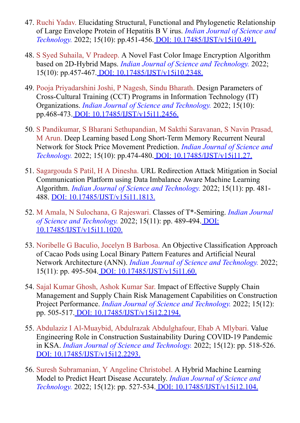- 47. Ruchi Yadav. Elucidating Structural, Functional and Phylogenetic Relationship of Large Envelope Protein of Hepatitis B V irus. *Indian Journal of Science and Technology.* 2022; 15(10): pp.451-456[. DOI: 10.17485/IJST/v15i10.491.](https://indjst.org/articles/elucidating-structural-functional-and-phylogenetic-relationship-of-large-envelope-protein-of-hepatitis-b-v-irus)
- 48. S Syed Suhaila, V Pradeep. A Novel Fast Color Image Encryption Algorithm based on 2D-Hybrid Maps. *Indian Journal of Science and Technology.* 2022; 15(10): pp.457-467. [DOI: 10.17485/IJST/v15i10.2348.](https://indjst.org/articles/a-novel-fast-color-image-encryption-algorithm-based-on-2d-hybrid-maps)
- 49. Pooja Priyadarshini Joshi, P Nagesh, Sindu Bharath. Design Parameters of Cross-Cultural Training (CCT) Programs in Information Technology (IT) Organizations. *Indian Journal of Science and Technology.* 2022; 15(10): pp.468-473. [DOI: 10.17485/IJST/v15i11.2456.](https://indjst.org/articles/design-parameters-of-cross-cultural-training-cct-programs-in-information-technology-it-organizations)
- 50. S Pandikumar, S Bharani Sethupandian, M Sakthi Saravanan, S Navin Prasad, M Arun. Deep Learning based Long Short-Term Memory Recurrent Neural Network for Stock Price Movement Prediction. *Indian Journal of Science and Technology.* 2022; 15(10): pp.474-480[. DOI: 10.17485/IJST/v15i11.27.](https://indjst.org/articles/deep-learning-based-long-short-term-memory-recurrent-neural-network-for-stock-price-movement-prediction)
- 51. Sagargouda S Patil, H A Dinesha. URL Redirection Attack Mitigation in Social Communication Platform using Data Imbalance Aware Machine Learning Algorithm. *Indian Journal of Science and Technology.* 2022; 15(11): pp. 481- 488. [DOI: 10.17485/IJST/v15i11.1813.](https://indjst.org/articles/url-redirection-attack-mitigation-in-social-communication-platform-using-data-imbalance-aware-machine-learning-algorithm)
- 52. M Amala, N Sulochana, G Rajeswari. Classes of T\*-Semiring. *Indian Journal of Science and Technology.* [2022; 15\(11\): pp. 489-494. DOI:](https://indjst.org/articles/classes-of-t-semiring) 10.17485/IJST/v15i11.1020.
- 53. Noribelle G Baculio, Jocelyn B Barbosa. An Objective Classification Approach of Cacao Pods using Local Binary Pattern Features and Artificial Neural Network Architecture (ANN). *Indian Journal of Science and Technology.* 2022; 15(11): pp. 495-504. [DOI: 10.17485/IJST/v15i11.60.](https://indjst.org/articles/an-objective-classification-approach-of-cacao-pods-using-local-binary-pattern-features-and-artificial-neural-network-architecture-ann)
- 54. Sajal Kumar Ghosh, Ashok Kumar Sar. Impact of Effective Supply Chain Management and Supply Chain Risk Management Capabilities on Construction Project Performance. *Indian Journal of Science and Technology.* 2022; 15(12): pp. 505-517. [DOI: 10.17485/IJST/v15i12.2194.](https://indjst.org/articles/impact-of-effective-supply-chain-management-and-supply-chain-risk-management-capabilities-on-construction-project-performance)
- 55. Abdulaziz I Al-Muaybid, Abdulrazak Abdulghafour, Ehab A Mlybari. Value Engineering Role in Construction Sustainability During COVID-19 Pandemic in KSA. *Indian Journal of Science and Technology.* 2022; 15(12): pp. 518-526. [DOI: 10.17485/IJST/v15i12.2293.](https://indjst.org/articles/value-engineering-role-in-construction-sustainability-during-covid-19-pandemic-in-ksa)
- 56. Suresh Subramanian, Y Angeline Christobel. A Hybrid Machine Learning Model to Predict Heart Disease Accurately. *Indian Journal of Science and Technology.* 2022; 15(12): pp. 527-534[. DOI: 10.17485/IJST/v15i12.104.](https://indjst.org/articles/a-hybrid-machine-learning-model-to-predict-heart-disease-accurately)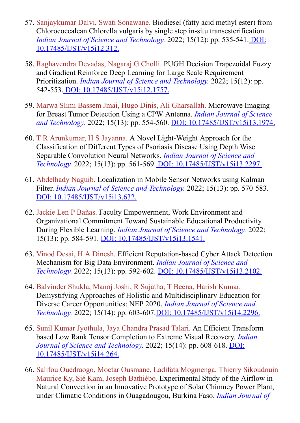- 57. Sanjaykumar Dalvi, Swati Sonawane. Biodiesel (fatty acid methyl ester) from Chlorococcalean Chlorella vulgaris by single step in-situ transesterification. *[Indian Journal of Science and Technology.](https://indjst.org/articles/biodiesel-fatty-acid-methyl-ester-from-chlorococcalean-chlorella-vulgaris-by-single-step-in-situ-transesterification)* 2022; 15(12): pp. 535-541. DOI: 10.17485/IJST/v15i12.312.
- 58. Raghavendra Devadas, Nagaraj G Cholli. PUGH Decision Trapezoidal Fuzzy and Gradient Reinforce Deep Learning for Large Scale Requirement Prioritization. *Indian Journal of Science and Technology.* 2022; 15(12): pp. 542-553. [DOI: 10.17485/IJST/v15i12.1757.](https://indjst.org/articles/pugh-decision-trapezoidal-fuzzy-and-gradient-reinforce-deep-learning-for-large-scale-requirement-prioritization)
- 59. Marwa Slimi Bassem Jmai, Hugo Dinis, Ali Gharsallah. Microwave Imaging for Breast Tumor Detection Using a CPW Antenna. *Indian Journal of Science and Technology.* 2022; 15(13): pp. 554-560. [DOI: 10.17485/IJST/v15i13.1974.](https://indjst.org/articles/microwave-imaging-for-breast-tumor-detection-using-a-cpw-antenna)
- 60. T R Arunkumar, H S Jayanna. A Novel Light-Weight Approach for the Classification of Different Types of Psoriasis Disease Using Depth Wise Separable Convolution Neural Networks. *Indian Journal of Science and Technology.* 2022; 15(13): pp. 561-569[. DOI: 10.17485/IJST/v15i13.2297.](https://indjst.org/articles/a-novel-light-weight-approach-for-the-classification-of-different-types-of-psoriasis-disease-using-depth-wise-separable-convolution-neural-networks)
- 61. Abdelhady Naguib. Localization in Mobile Sensor Networks using Kalman Filter. *Indian Journal of Science and Technology.* 2022; 15(13): pp. 570-583. [DOI: 10.17485/IJST/v15i13.632.](https://indjst.org/articles/localization-in-mobile-sensor-networks-using-kalman-filter)
- 62. Jackie Len P Bañas. Faculty Empowerment, Work Environment and Organizational Commitment Toward Sustainable Educational Productivity During Flexible Learning. *Indian Journal of Science and Technology.* 2022; 15(13): pp. 584-591. [DOI: 10.17485/IJST/v15i13.1541.](https://indjst.org/articles/faculty-empowerment-work-environment-and-organizational-commitment-toward-sustainable-educational-productivity-during-flexible-learning)
- 63. Vinod Desai, H A Dinesh. Efficient Reputation-based Cyber Attack Detection Mechanism for Big Data Environment. *Indian Journal of Science and Technology.* 2022; 15(13): pp. 592-602. [DOI: 10.17485/IJST/v15i13.2102.](https://indjst.org/articles/efficient-reputation-based-cyber-attack-detection-mechanism-for-big-data-environment)
- 64. Balvinder Shukla, Manoj Joshi, R Sujatha, T Beena, Harish Kumar. Demystifying Approaches of Holistic and Multidisciplinary Education for Diverse Career Opportunities: NEP 2020. *Indian Journal of Science and Technology.* 2022; 15(14): pp. 603-607[.DOI: 10.17485/IJST/v15i14.2296.](https://indjst.org/articles/demystifying-approaches-of-holistic-and-multidisciplinary-education-for-diverse-career-opportunities-nep-2020)
- 65. Sunil Kumar Jyothula, Jaya Chandra Prasad Talari. An Efficient Transform based Low Rank Tensor Completion to Extreme Visual Recovery. *Indian [Journal of Science and Technology.](https://indjst.org/articles/an-efficient-transform-based-low-rank-tensor-completion-to-extreme-visual-recovery)* 2022; 15(14): pp. 608-618. DOI: 10.17485/IJST/v15i14.264.
- 66. Salifou Ouédraogo, Moctar Ousmane, Ladifata Mogmenga, Thierry Sikoudouin Maurice Ky, Sié Kam, Joseph Bathiébo. Experimental Study of the Airflow in Natural Convection in an Innovative Prototype of Solar Chimney Power Plant, under Climatic Conditions in Ouagadougou, Burkina Faso. *Indian Journal of*